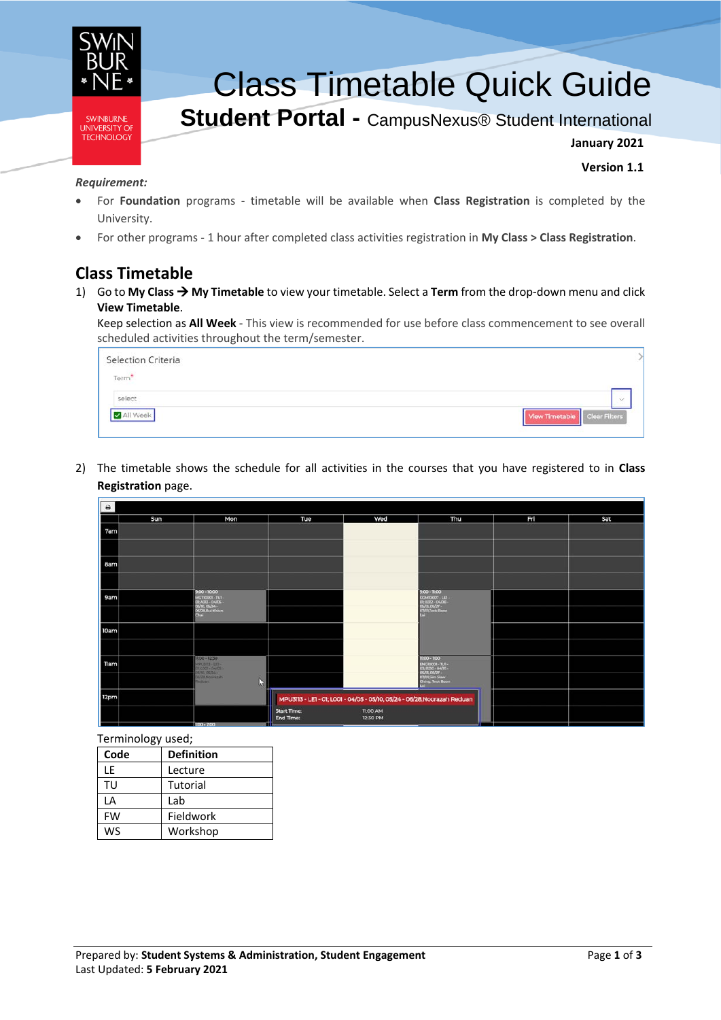

# Class Timetable Quick Guide

# **Student Portal -** CampusNexus® Student International

**January 2021**

**Version 1.1**

#### *Requirement:*

- For **Foundation** programs timetable will be available when **Class Registration** is completed by the University.
- For other programs 1 hour after completed class activities registration in **My Class > Class Registration**.

# **Class Timetable**

1) Go to **My Class My Timetable** to view your timetable. Select a **Term** from the drop-down menu and click **View Timetable**.

Keep selection as **All Week** - This view is recommended for use before class commencement to see overall scheduled activities throughout the term/semester.

| Selection Criteria |                                |
|--------------------|--------------------------------|
| Term               |                                |
| select             | $\sim$                         |
|                    | View Timetable   Clear Filters |

2) The timetable shows the schedule for all activities in the courses that you have registered to in **Class Registration** page.

| $\ddot{ }$ |     |                                                       |                                                                          |                             |                                                                             |     |     |
|------------|-----|-------------------------------------------------------|--------------------------------------------------------------------------|-----------------------------|-----------------------------------------------------------------------------|-----|-----|
|            | Sun | Mon                                                   | Tue                                                                      | Wed                         | Thu                                                                         | Fri | Sat |
| 7am        |     |                                                       |                                                                          |                             |                                                                             |     |     |
|            |     |                                                       |                                                                          |                             |                                                                             |     |     |
| 8am        |     |                                                       |                                                                          |                             |                                                                             |     |     |
|            |     |                                                       |                                                                          |                             |                                                                             |     |     |
| 9am        |     | $900 - 1000$<br>MGT10001-TUI-<br><b>DEATH-0405-</b>   |                                                                          |                             | 9:00 - 11:00<br>COM00007-LLT-<br>01 B312 - 04/08 -<br><b>DEVILL OS/27 -</b> |     |     |
|            |     | 05/10, 05/24 -<br>06/28, Buil Khiun<br>Chai           |                                                                          |                             | 07/01 Texts Boon                                                            |     |     |
| 10am       |     |                                                       |                                                                          |                             |                                                                             |     |     |
|            |     |                                                       |                                                                          |                             |                                                                             |     |     |
| Tlam       |     | 11:00 - 12:30<br>MPU313 - LET-<br>28, LOCA - 04, CS - |                                                                          |                             | $1500 - 1500$<br><b>ENGIODOI - TUT -</b><br>03/020-0405-<br>OS/EL OS/27 -   |     |     |
|            |     | <b>CA/28 Nooratah</b><br><b>Geibuart</b><br>IJ        |                                                                          |                             | <b>D'AULSim Saw</b><br>Ching, Tech Boon                                     |     |     |
| 12pm       |     |                                                       | MPU3113 - LE1 - 01; L001 - 04/05 - 05/10, 05/24 - 06/28, Noorazah Reduan |                             |                                                                             |     |     |
|            |     |                                                       | <b>Start Time:</b><br>End Time:                                          | <b>TI:00 AM</b><br>12:30 PM |                                                                             |     |     |
|            |     | 100-200                                               |                                                                          |                             |                                                                             |     |     |

Terminology used;

| Code | <b>Definition</b> |
|------|-------------------|
| ١F   | Lecture           |
| TIJ  | Tutorial          |
| ΙA   | Lab               |
| FW   | Fieldwork         |
| ws   | Workshop          |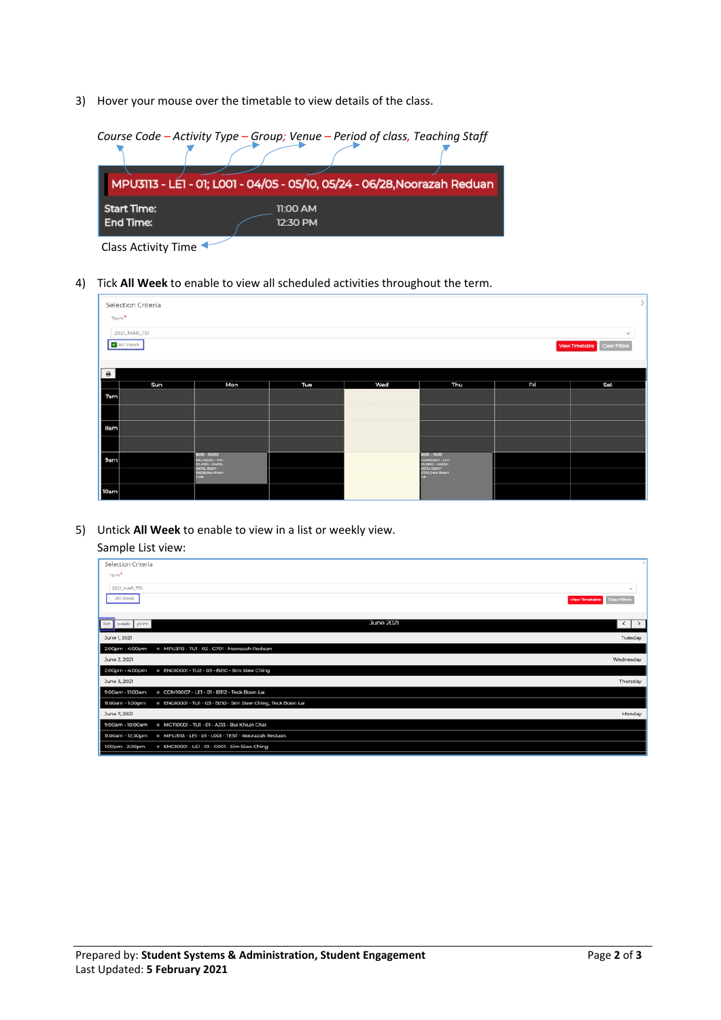3) Hover your mouse over the timetable to view details of the class.

|                                 | Course Code - Activity Type - Group; Venue - Period of class, Teaching Staff |  |
|---------------------------------|------------------------------------------------------------------------------|--|
|                                 | MPU3113 - LE1 - 01; L001 - 04/05 - 05/10, 05/24 - 06/28, Noorazah Reduan     |  |
| <b>Start Time:</b><br>End Time: | $11:00$ AM<br>12:30 PM                                                       |  |

Class Activity Time

4) Tick **All Week** to enable to view all scheduled activities throughout the term.

|                        | Selection Criteria<br>Term <sup>*</sup><br>2021_MAR_TS1<br>$\mathcal{L}$<br>All Week<br>View Timetable Clear Filters |                                                                                                 |     |     |                                                                                                                      |     |     |
|------------------------|----------------------------------------------------------------------------------------------------------------------|-------------------------------------------------------------------------------------------------|-----|-----|----------------------------------------------------------------------------------------------------------------------|-----|-----|
| $\qquad \qquad \oplus$ | Sun                                                                                                                  | Mon                                                                                             | Tue | Wed | Thu                                                                                                                  | Fri | Sat |
| 7am                    |                                                                                                                      |                                                                                                 |     |     |                                                                                                                      |     |     |
| 8am                    |                                                                                                                      |                                                                                                 |     |     |                                                                                                                      |     |     |
| 9am                    |                                                                                                                      | 9:00 - 10:00<br>MCT30001 - TU1<br>DI ATIS - DATIS -<br>GS/10, GS/24<br>DIV/25.But Khium<br>Chai |     |     | 9:00 - 11:00<br>CCM00007-1JFI-<br><b>01, RT27 - 04/08 -</b><br><b>OS/13, OS/27.</b><br><b>Grafos Texas Bosm</b><br>- |     |     |
| 10am                   |                                                                                                                      |                                                                                                 |     |     |                                                                                                                      |     |     |

5) Untick **All Week** to enable to view in a list or weekly view.

## Sample List view:

| Selection Criteria                                                               |                                       |
|----------------------------------------------------------------------------------|---------------------------------------|
| Term <sup>*</sup>                                                                |                                       |
| 2021 MAR TS1                                                                     | $\sim$                                |
| All Week                                                                         | View Timetable<br><b>Clear Filter</b> |
| list<br>week print                                                               | <b>June 2021</b><br>$\langle$   >     |
| June 1, 2021                                                                     | Tuesday                               |
| e MPU3113 - TU1 - 02 - G701 - Noorazah Reduan<br>2:00pm - 4:00pm                 |                                       |
| June 2, 2021                                                                     | Wednesday                             |
| · ENG10001 - TU2 - 03 - B210 - Sim Siaw Ching<br>2:00pm - 4:00pm                 |                                       |
| June 3, 2021                                                                     | Thursday                              |
| + COM10007 - LE1 - 01 - B312 - Teck Boon Lai<br>9:00am - 11:00am                 |                                       |
| . ENG10001 - TU1 - 03 - B210 - Sim Siaw Ching, Teck Boon Lai<br>11:00am - 1:00pm |                                       |
| June 7, 2021                                                                     | Monday                                |
| + MGT10001 - TU1 - 01 - A313 - Bui Khiun Chai<br>9:00am - 10:00am                |                                       |
| 11:00am - 12:30pm<br>e MPU3113 - LE1 - 01 - LOO1 - TEST - Noorazah Reduan        |                                       |
| . ENG10001 - LE1 - 01 - G001 - Sim Siaw Ching<br>1.00pm - 2.00pm                 |                                       |